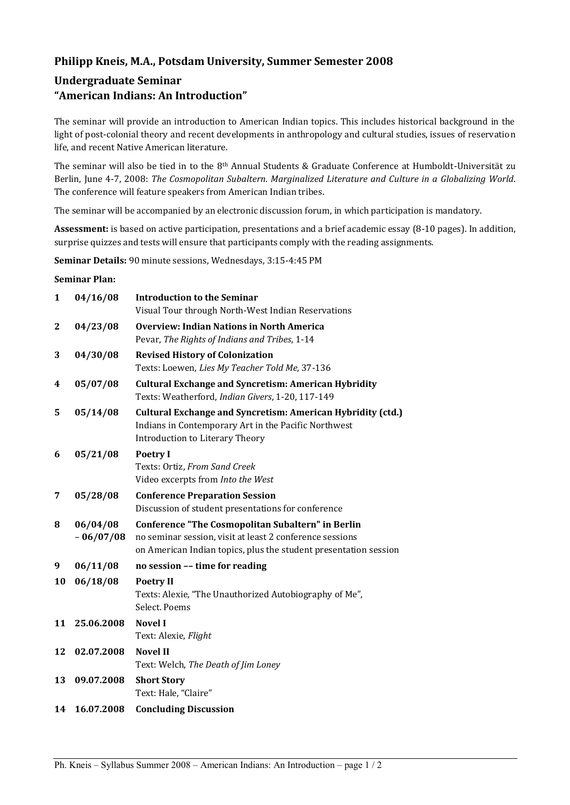# **Philipp Kneis, M.A., Potsdam University, Summer Semester 2008**

# **Undergraduate Seminar "American Indians: An Introduction"**

The seminar will provide an introduction to American Indian topics. This includes historical background in the light of post-colonial theory and recent developments in anthropology and cultural studies, issues of reservation life, and recent Native American literature.

The seminar will also be tied in to the 8th Annual Students & Graduate Conference at Humboldt-Universität zu Berlin, June 4-7, 2008: *The Cosmopolitan Subaltern. Marginalized Literature and Culture in a Globalizing World*. The conference will feature speakers from American Indian tribes.

The seminar will be accompanied by an electronic discussion forum, in which participation is mandatory.

**Assessment:** is based on active participation, presentations and a brief academic essay (8-10 pages). In addition, surprise quizzes and tests will ensure that participants comply with the reading assignments.

**Seminar Details:** 90 minute sessions, Wednesdays, 3:15-4:45 PM

#### **Seminar Plan:**

| $\mathbf{1}$ | 04/16/08                | <b>Introduction to the Seminar</b><br>Visual Tour through North-West Indian Reservations                                                                                          |
|--------------|-------------------------|-----------------------------------------------------------------------------------------------------------------------------------------------------------------------------------|
| 2            | 04/23/08                | <b>Overview: Indian Nations in North America</b><br>Pevar, The Rights of Indians and Tribes, 1-14                                                                                 |
| 3            | 04/30/08                | <b>Revised History of Colonization</b><br>Texts: Loewen, Lies My Teacher Told Me, 37-136                                                                                          |
| 4            | 05/07/08                | <b>Cultural Exchange and Syncretism: American Hybridity</b><br>Texts: Weatherford, Indian Givers, 1-20, 117-149                                                                   |
| 5            | 05/14/08                | <b>Cultural Exchange and Syncretism: American Hybridity (ctd.)</b><br>Indians in Contemporary Art in the Pacific Northwest<br>Introduction to Literary Theory                     |
| 6            | 05/21/08                | <b>Poetry I</b><br>Texts: Ortiz, From Sand Creek<br>Video excerpts from Into the West                                                                                             |
| 7            | 05/28/08                | <b>Conference Preparation Session</b><br>Discussion of student presentations for conference                                                                                       |
| 8            | 06/04/08<br>$-06/07/08$ | Conference "The Cosmopolitan Subaltern" in Berlin<br>no seminar session, visit at least 2 conference sessions<br>on American Indian topics, plus the student presentation session |
| 9            | 06/11/08                | no session -- time for reading                                                                                                                                                    |
| 10           | 06/18/08                | <b>Poetry II</b><br>Texts: Alexie, "The Unauthorized Autobiography of Me",<br>Select. Poems                                                                                       |
| 11           | 25.06.2008              | <b>Novel I</b><br>Text: Alexie, Flight                                                                                                                                            |
| 12           | 02.07.2008              | <b>Novel II</b><br>Text: Welch, The Death of Jim Loney                                                                                                                            |
| 13           | 09.07.2008              | <b>Short Story</b><br>Text: Hale, "Claire"                                                                                                                                        |
| 14           | 16.07.2008              | <b>Concluding Discussion</b>                                                                                                                                                      |